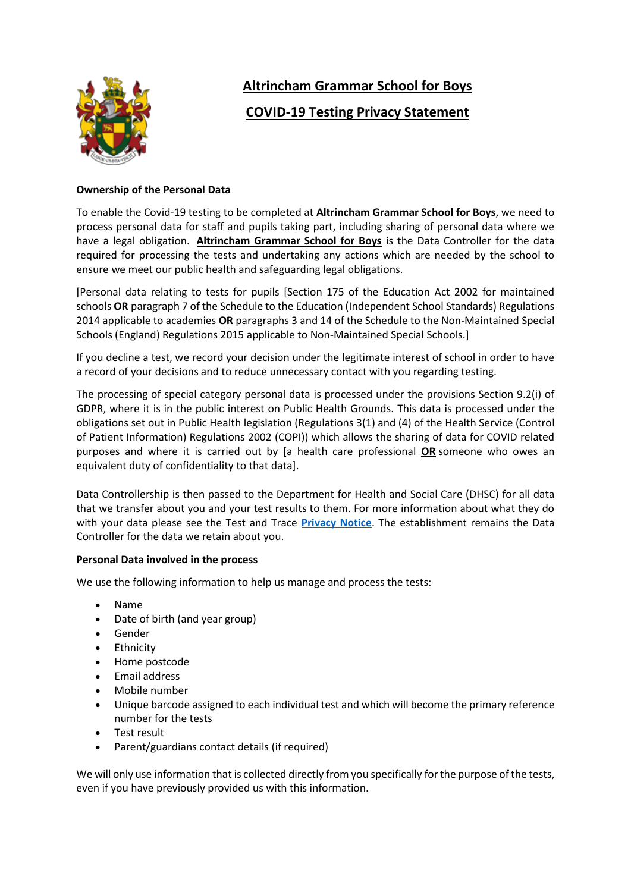

# **Altrincham Grammar School for Boys**

## **COVID-19 Testing Privacy Statement**

## **Ownership of the Personal Data**

To enable the Covid-19 testing to be completed at **Altrincham Grammar School for Boys**, we need to process personal data for staff and pupils taking part, including sharing of personal data where we have a legal obligation. **Altrincham Grammar School for Boys** is the Data Controller for the data required for processing the tests and undertaking any actions which are needed by the school to ensure we meet our public health and safeguarding legal obligations.

[Personal data relating to tests for pupils [Section 175 of the Education Act 2002 for maintained schools **OR** paragraph 7 of the Schedule to the Education (Independent School Standards) Regulations 2014 applicable to academies **OR** paragraphs 3 and 14 of the Schedule to the Non-Maintained Special Schools (England) Regulations 2015 applicable to Non-Maintained Special Schools.]

If you decline a test, we record your decision under the legitimate interest of school in order to have a record of your decisions and to reduce unnecessary contact with you regarding testing.

The processing of special category personal data is processed under the provisions Section 9.2(i) of GDPR, where it is in the public interest on Public Health Grounds. This data is processed under the obligations set out in Public Health legislation (Regulations 3(1) and (4) of the Health Service (Control of Patient Information) Regulations 2002 (COPI)) which allows the sharing of data for COVID related purposes and where it is carried out by [a health care professional **OR** someone who owes an equivalent duty of confidentiality to that data].

Data Controllership is then passed to the Department for Health and Social Care (DHSC) for all data that we transfer about you and your test results to them. For more information about what they do with your data please see the Test and Trace **[Privacy Notice](https://contact-tracing.phe.gov.uk/help/privacy-notice)**. The establishment remains the Data Controller for the data we retain about you.

#### **Personal Data involved in the process**

We use the following information to help us manage and process the tests:

- Name
- Date of birth (and year group)
- Gender
- Ethnicity
- Home postcode
- Email address
- Mobile number
- Unique barcode assigned to each individual test and which will become the primary reference number for the tests
- Test result
- Parent/guardians contact details (if required)

We will only use information that is collected directly from you specifically for the purpose of the tests, even if you have previously provided us with this information.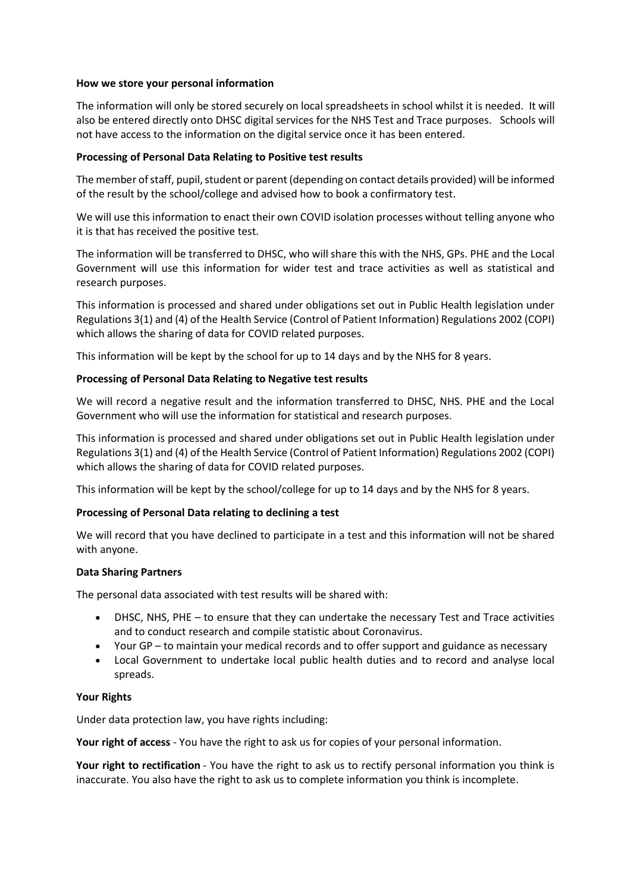#### **How we store your personal information**

The information will only be stored securely on local spreadsheets in school whilst it is needed. It will also be entered directly onto DHSC digital services for the NHS Test and Trace purposes. Schools will not have access to the information on the digital service once it has been entered.

#### **Processing of Personal Data Relating to Positive test results**

The member of staff, pupil, student or parent (depending on contact details provided) will be informed of the result by the school/college and advised how to book a confirmatory test.

We will use this information to enact their own COVID isolation processes without telling anyone who it is that has received the positive test.

The information will be transferred to DHSC, who will share this with the NHS, GPs. PHE and the Local Government will use this information for wider test and trace activities as well as statistical and research purposes.

This information is processed and shared under obligations set out in Public Health legislation under Regulations 3(1) and (4) of the Health Service (Control of Patient Information) Regulations 2002 (COPI) which allows the sharing of data for COVID related purposes.

This information will be kept by the school for up to 14 days and by the NHS for 8 years.

### **Processing of Personal Data Relating to Negative test results**

We will record a negative result and the information transferred to DHSC, NHS. PHE and the Local Government who will use the information for statistical and research purposes.

This information is processed and shared under obligations set out in Public Health legislation under Regulations 3(1) and (4) of the Health Service (Control of Patient Information) Regulations 2002 (COPI) which allows the sharing of data for COVID related purposes.

This information will be kept by the school/college for up to 14 days and by the NHS for 8 years.

## **Processing of Personal Data relating to declining a test**

We will record that you have declined to participate in a test and this information will not be shared with anyone.

#### **Data Sharing Partners**

The personal data associated with test results will be shared with:

- DHSC, NHS, PHE to ensure that they can undertake the necessary Test and Trace activities and to conduct research and compile statistic about Coronavirus.
- Your GP to maintain your medical records and to offer support and guidance as necessary
- Local Government to undertake local public health duties and to record and analyse local spreads.

#### **Your Rights**

Under data protection law, you have rights including:

**Your right of access** - You have the right to ask us for copies of your personal information.

**Your right to rectification** - You have the right to ask us to rectify personal information you think is inaccurate. You also have the right to ask us to complete information you think is incomplete.